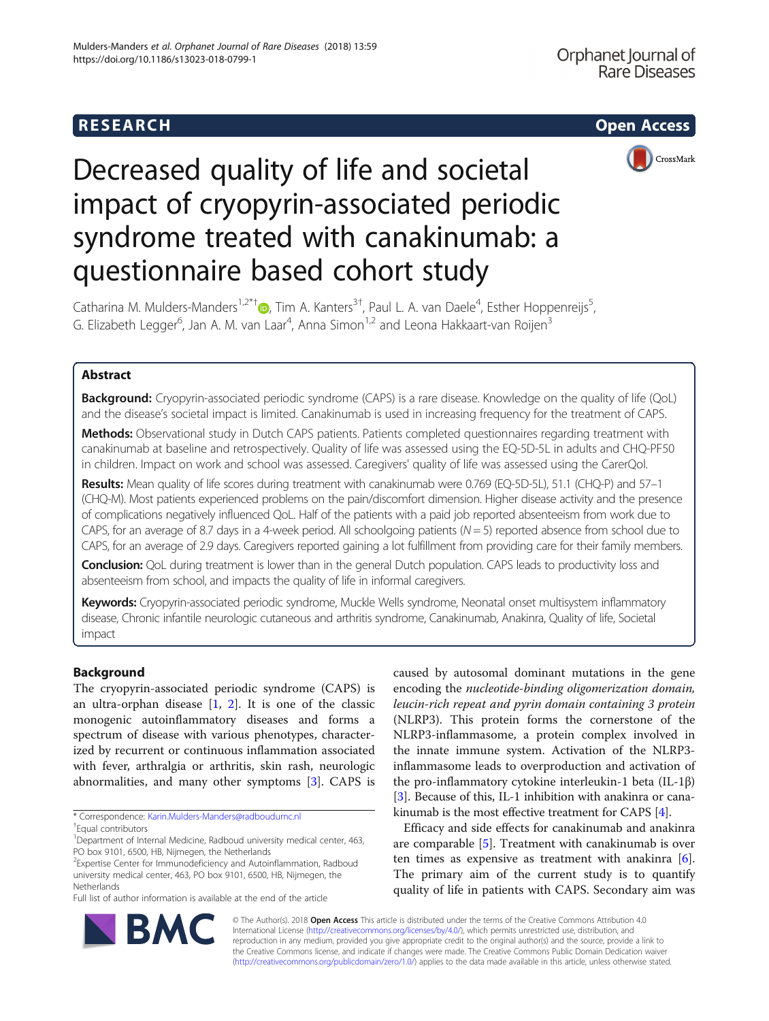# **RESEARCH CHEAR CHEAR CHEAR CHEAR CHEAR CHEAR CHEAR CHEAR CHEAR CHEAR CHEAR CHEAR CHEAR CHEAR CHEAR CHEAR CHEAR**



# Decreased quality of life and societal impact of cryopyrin-associated periodic syndrome treated with canakinumab: a questionnaire based cohort study

Catharina M. Mulders-Manders<sup>1[,](http://orcid.org/0000-0002-8235-2629)2\*†</sup>®, Tim A. Kanters<sup>3†</sup>, Paul L. A. van Daele<sup>4</sup>, Esther Hoppenreijs<sup>5</sup> , G. Elizabeth Legger<sup>6</sup>, Jan A. M. van Laar<sup>4</sup>, Anna Simon<sup>1,2</sup> and Leona Hakkaart-van Roijen<sup>3</sup>

# Abstract

Background: Cryopyrin-associated periodic syndrome (CAPS) is a rare disease. Knowledge on the quality of life (QoL) and the disease's societal impact is limited. Canakinumab is used in increasing frequency for the treatment of CAPS.

Methods: Observational study in Dutch CAPS patients. Patients completed questionnaires regarding treatment with canakinumab at baseline and retrospectively. Quality of life was assessed using the EQ-5D-5L in adults and CHQ-PF50 in children. Impact on work and school was assessed. Caregivers' quality of life was assessed using the CarerQol.

Results: Mean quality of life scores during treatment with canakinumab were 0.769 (EQ-5D-5L), 51.1 (CHQ-P) and 57-1 (CHQ-M). Most patients experienced problems on the pain/discomfort dimension. Higher disease activity and the presence of complications negatively influenced QoL. Half of the patients with a paid job reported absenteeism from work due to CAPS, for an average of 8.7 days in a 4-week period. All schoolgoing patients ( $N = 5$ ) reported absence from school due to CAPS, for an average of 2.9 days. Caregivers reported gaining a lot fulfillment from providing care for their family members.

Conclusion: QoL during treatment is lower than in the general Dutch population. CAPS leads to productivity loss and absenteeism from school, and impacts the quality of life in informal caregivers.

Keywords: Cryopyrin-associated periodic syndrome, Muckle Wells syndrome, Neonatal onset multisystem inflammatory disease, Chronic infantile neurologic cutaneous and arthritis syndrome, Canakinumab, Anakinra, Quality of life, Societal impact

# Background

The cryopyrin-associated periodic syndrome (CAPS) is an ultra-orphan disease [[1,](#page-6-0) [2\]](#page-7-0). It is one of the classic monogenic autoinflammatory diseases and forms a spectrum of disease with various phenotypes, characterized by recurrent or continuous inflammation associated with fever, arthralgia or arthritis, skin rash, neurologic abnormalities, and many other symptoms [[3\]](#page-7-0). CAPS is

\* Correspondence: [Karin.Mulders-Manders@radboudumc.nl](mailto:Karin.Mulders-Manders@radboudumc.nl) †

Equal contributors

caused by autosomal dominant mutations in the gene encoding the nucleotide-binding oligomerization domain, leucin-rich repeat and pyrin domain containing 3 protein (NLRP3). This protein forms the cornerstone of the NLRP3-inflammasome, a protein complex involved in the innate immune system. Activation of the NLRP3 inflammasome leads to overproduction and activation of the pro-inflammatory cytokine interleukin-1 beta (IL-1β) [[3\]](#page-7-0). Because of this, IL-1 inhibition with anakinra or canakinumab is the most effective treatment for CAPS [\[4](#page-7-0)].

Efficacy and side effects for canakinumab and anakinra are comparable [[5\]](#page-7-0). Treatment with canakinumab is over ten times as expensive as treatment with anakinra  $[6]$  $[6]$ . The primary aim of the current study is to quantify quality of life in patients with CAPS. Secondary aim was



© The Author(s). 2018 Open Access This article is distributed under the terms of the Creative Commons Attribution 4.0 International License [\(http://creativecommons.org/licenses/by/4.0/](http://creativecommons.org/licenses/by/4.0/)), which permits unrestricted use, distribution, and reproduction in any medium, provided you give appropriate credit to the original author(s) and the source, provide a link to the Creative Commons license, and indicate if changes were made. The Creative Commons Public Domain Dedication waiver [\(http://creativecommons.org/publicdomain/zero/1.0/](http://creativecommons.org/publicdomain/zero/1.0/)) applies to the data made available in this article, unless otherwise stated.

<sup>&</sup>lt;sup>1</sup>Department of Internal Medicine, Radboud university medical center, 463, PO box 9101, 6500, HB, Nijmegen, the Netherlands

<sup>2</sup> Expertise Center for Immunodeficiency and Autoinflammation, Radboud university medical center, 463, PO box 9101, 6500, HB, Nijmegen, the Netherlands

Full list of author information is available at the end of the article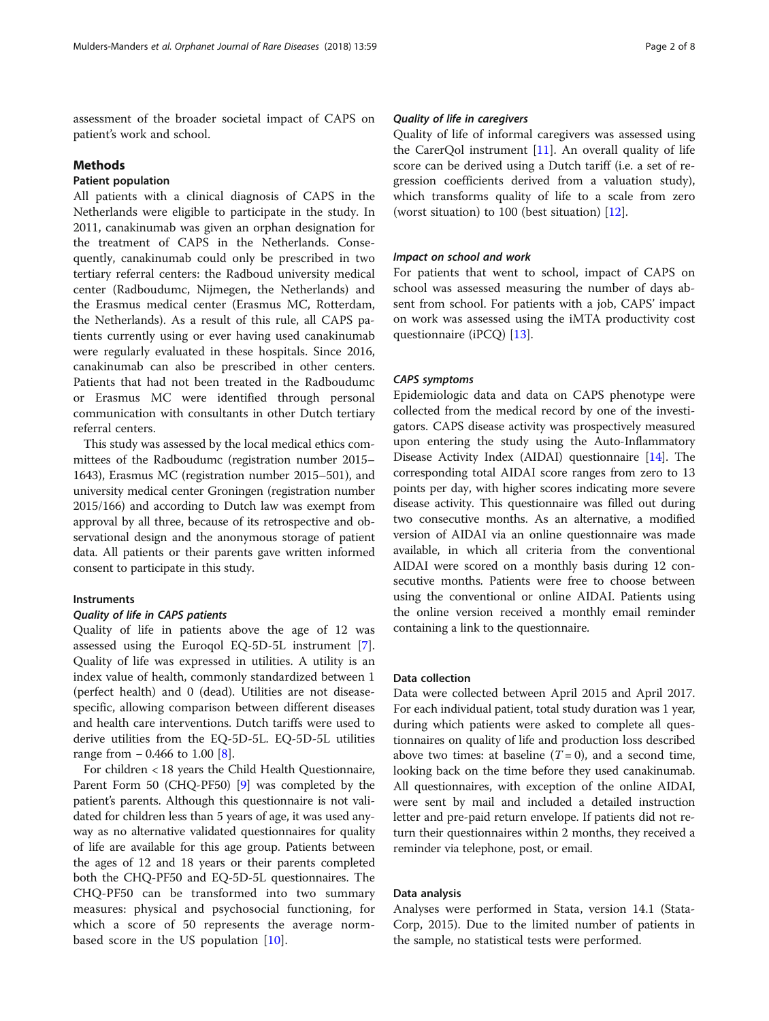assessment of the broader societal impact of CAPS on patient's work and school.

## **Methods**

# Patient population

All patients with a clinical diagnosis of CAPS in the Netherlands were eligible to participate in the study. In 2011, canakinumab was given an orphan designation for the treatment of CAPS in the Netherlands. Consequently, canakinumab could only be prescribed in two tertiary referral centers: the Radboud university medical center (Radboudumc, Nijmegen, the Netherlands) and the Erasmus medical center (Erasmus MC, Rotterdam, the Netherlands). As a result of this rule, all CAPS patients currently using or ever having used canakinumab were regularly evaluated in these hospitals. Since 2016, canakinumab can also be prescribed in other centers. Patients that had not been treated in the Radboudumc or Erasmus MC were identified through personal communication with consultants in other Dutch tertiary referral centers.

This study was assessed by the local medical ethics committees of the Radboudumc (registration number 2015– 1643), Erasmus MC (registration number 2015–501), and university medical center Groningen (registration number 2015/166) and according to Dutch law was exempt from approval by all three, because of its retrospective and observational design and the anonymous storage of patient data. All patients or their parents gave written informed consent to participate in this study.

# Instruments

#### Quality of life in CAPS patients

Quality of life in patients above the age of 12 was assessed using the Euroqol EQ-5D-5L instrument [\[7](#page-7-0)]. Quality of life was expressed in utilities. A utility is an index value of health, commonly standardized between 1 (perfect health) and 0 (dead). Utilities are not diseasespecific, allowing comparison between different diseases and health care interventions. Dutch tariffs were used to derive utilities from the EQ-5D-5L. EQ-5D-5L utilities range from − 0.466 to 1.00 [[8\]](#page-7-0).

For children < 18 years the Child Health Questionnaire, Parent Form 50 (CHQ-PF50) [\[9](#page-7-0)] was completed by the patient's parents. Although this questionnaire is not validated for children less than 5 years of age, it was used anyway as no alternative validated questionnaires for quality of life are available for this age group. Patients between the ages of 12 and 18 years or their parents completed both the CHQ-PF50 and EQ-5D-5L questionnaires. The CHQ-PF50 can be transformed into two summary measures: physical and psychosocial functioning, for which a score of 50 represents the average normbased score in the US population [\[10](#page-7-0)].

## Quality of life in caregivers

Quality of life of informal caregivers was assessed using the CarerQol instrument  $[11]$  $[11]$ . An overall quality of life score can be derived using a Dutch tariff (i.e. a set of regression coefficients derived from a valuation study), which transforms quality of life to a scale from zero (worst situation) to 100 (best situation) [[12](#page-7-0)].

#### Impact on school and work

For patients that went to school, impact of CAPS on school was assessed measuring the number of days absent from school. For patients with a job, CAPS' impact on work was assessed using the iMTA productivity cost questionnaire (iPCQ) [\[13\]](#page-7-0).

#### CAPS symptoms

Epidemiologic data and data on CAPS phenotype were collected from the medical record by one of the investigators. CAPS disease activity was prospectively measured upon entering the study using the Auto-Inflammatory Disease Activity Index (AIDAI) questionnaire [\[14\]](#page-7-0). The corresponding total AIDAI score ranges from zero to 13 points per day, with higher scores indicating more severe disease activity. This questionnaire was filled out during two consecutive months. As an alternative, a modified version of AIDAI via an online questionnaire was made available, in which all criteria from the conventional AIDAI were scored on a monthly basis during 12 consecutive months. Patients were free to choose between using the conventional or online AIDAI. Patients using the online version received a monthly email reminder containing a link to the questionnaire.

## Data collection

Data were collected between April 2015 and April 2017. For each individual patient, total study duration was 1 year, during which patients were asked to complete all questionnaires on quality of life and production loss described above two times: at baseline  $(T = 0)$ , and a second time, looking back on the time before they used canakinumab. All questionnaires, with exception of the online AIDAI, were sent by mail and included a detailed instruction letter and pre-paid return envelope. If patients did not return their questionnaires within 2 months, they received a reminder via telephone, post, or email.

#### Data analysis

Analyses were performed in Stata, version 14.1 (Stata-Corp, 2015). Due to the limited number of patients in the sample, no statistical tests were performed.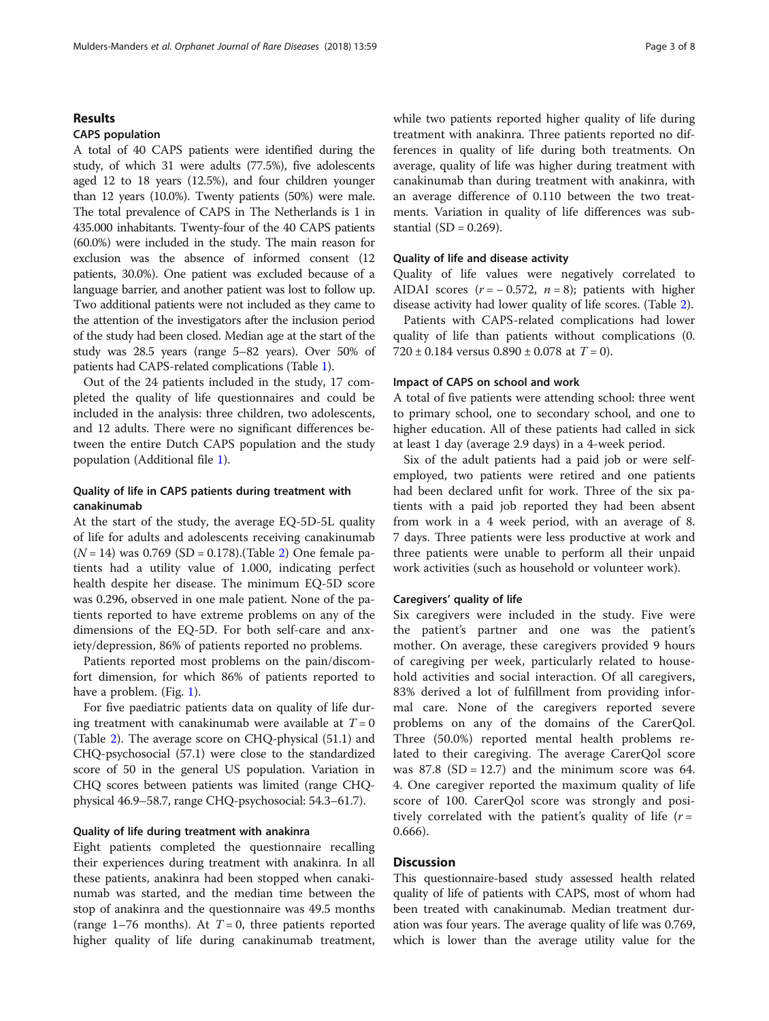# Results

#### CAPS population

A total of 40 CAPS patients were identified during the study, of which 31 were adults (77.5%), five adolescents aged 12 to 18 years (12.5%), and four children younger than 12 years (10.0%). Twenty patients (50%) were male. The total prevalence of CAPS in The Netherlands is 1 in 435.000 inhabitants. Twenty-four of the 40 CAPS patients (60.0%) were included in the study. The main reason for exclusion was the absence of informed consent (12 patients, 30.0%). One patient was excluded because of a language barrier, and another patient was lost to follow up. Two additional patients were not included as they came to the attention of the investigators after the inclusion period of the study had been closed. Median age at the start of the study was 28.5 years (range 5–82 years). Over 50% of patients had CAPS-related complications (Table [1\)](#page-3-0).

Out of the 24 patients included in the study, 17 completed the quality of life questionnaires and could be included in the analysis: three children, two adolescents, and 12 adults. There were no significant differences between the entire Dutch CAPS population and the study population (Additional file [1](#page-6-0)).

# Quality of life in CAPS patients during treatment with canakinumab

At the start of the study, the average EQ-5D-5L quality of life for adults and adolescents receiving canakinumab  $(N = 14)$  was 0.769 (SD = 0.178).(Table [2\)](#page-4-0) One female patients had a utility value of 1.000, indicating perfect health despite her disease. The minimum EQ-5D score was 0.296, observed in one male patient. None of the patients reported to have extreme problems on any of the dimensions of the EQ-5D. For both self-care and anxiety/depression, 86% of patients reported no problems.

Patients reported most problems on the pain/discomfort dimension, for which 86% of patients reported to have a problem. (Fig. [1](#page-5-0)).

For five paediatric patients data on quality of life during treatment with canakinumab were available at  $T = 0$ (Table [2\)](#page-4-0). The average score on CHQ-physical (51.1) and CHQ-psychosocial (57.1) were close to the standardized score of 50 in the general US population. Variation in CHQ scores between patients was limited (range CHQphysical 46.9–58.7, range CHQ-psychosocial: 54.3–61.7).

# Quality of life during treatment with anakinra

Eight patients completed the questionnaire recalling their experiences during treatment with anakinra. In all these patients, anakinra had been stopped when canakinumab was started, and the median time between the stop of anakinra and the questionnaire was 49.5 months (range 1–76 months). At  $T=0$ , three patients reported higher quality of life during canakinumab treatment, while two patients reported higher quality of life during treatment with anakinra. Three patients reported no differences in quality of life during both treatments. On average, quality of life was higher during treatment with canakinumab than during treatment with anakinra, with an average difference of 0.110 between the two treatments. Variation in quality of life differences was substantial  $(SD = 0.269)$ .

# Quality of life and disease activity

Quality of life values were negatively correlated to AIDAI scores  $(r = -0.572, n = 8)$ ; patients with higher disease activity had lower quality of life scores. (Table [2](#page-4-0)).

Patients with CAPS-related complications had lower quality of life than patients without complications (0. 720 ± 0.184 versus  $0.890 \pm 0.078$  at  $T = 0$ ).

#### Impact of CAPS on school and work

A total of five patients were attending school: three went to primary school, one to secondary school, and one to higher education. All of these patients had called in sick at least 1 day (average 2.9 days) in a 4-week period.

Six of the adult patients had a paid job or were selfemployed, two patients were retired and one patients had been declared unfit for work. Three of the six patients with a paid job reported they had been absent from work in a 4 week period, with an average of 8. 7 days. Three patients were less productive at work and three patients were unable to perform all their unpaid work activities (such as household or volunteer work).

#### Caregivers' quality of life

Six caregivers were included in the study. Five were the patient's partner and one was the patient's mother. On average, these caregivers provided 9 hours of caregiving per week, particularly related to household activities and social interaction. Of all caregivers, 83% derived a lot of fulfillment from providing informal care. None of the caregivers reported severe problems on any of the domains of the CarerQol. Three (50.0%) reported mental health problems related to their caregiving. The average CarerQol score was  $87.8$  (SD = 12.7) and the minimum score was 64. 4. One caregiver reported the maximum quality of life score of 100. CarerQol score was strongly and positively correlated with the patient's quality of life  $(r =$ 0.666).

#### **Discussion**

This questionnaire-based study assessed health related quality of life of patients with CAPS, most of whom had been treated with canakinumab. Median treatment duration was four years. The average quality of life was 0.769, which is lower than the average utility value for the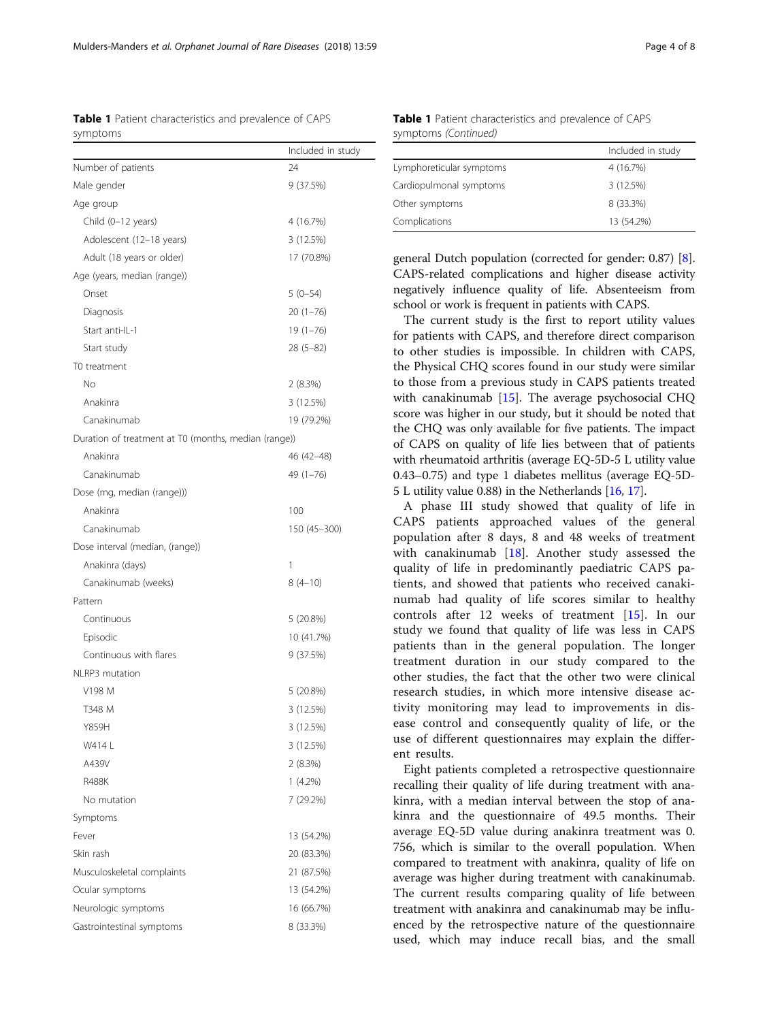general Dutch population (corrected for gender: 0.87) [[8](#page-7-0)]. CAPS-related complications and higher disease activity negatively influence quality of life. Absenteeism from

school or work is frequent in patients with CAPS.

Cardiopulmonal symptoms 3 (12.5%) Other symptoms 8 (33.3%) Complications 13 (54.2%)

The current study is the first to report utility values for patients with CAPS, and therefore direct comparison to other studies is impossible. In children with CAPS, the Physical CHQ scores found in our study were similar to those from a previous study in CAPS patients treated with canakinumab [\[15](#page-7-0)]. The average psychosocial CHO score was higher in our study, but it should be noted that the CHQ was only available for five patients. The impact of CAPS on quality of life lies between that of patients with rheumatoid arthritis (average EQ-5D-5 L utility value 0.43–0.75) and type 1 diabetes mellitus (average EQ-5D-5 L utility value 0.88) in the Netherlands [[16](#page-7-0), [17\]](#page-7-0).

A phase III study showed that quality of life in CAPS patients approached values of the general population after 8 days, 8 and 48 weeks of treatment with canakinumab [[18](#page-7-0)]. Another study assessed the quality of life in predominantly paediatric CAPS patients, and showed that patients who received canakinumab had quality of life scores similar to healthy controls after 12 weeks of treatment [[15](#page-7-0)]. In our study we found that quality of life was less in CAPS patients than in the general population. The longer treatment duration in our study compared to the other studies, the fact that the other two were clinical research studies, in which more intensive disease activity monitoring may lead to improvements in disease control and consequently quality of life, or the use of different questionnaires may explain the different results.

Eight patients completed a retrospective questionnaire recalling their quality of life during treatment with anakinra, with a median interval between the stop of anakinra and the questionnaire of 49.5 months. Their average EQ-5D value during anakinra treatment was 0. 756, which is similar to the overall population. When compared to treatment with anakinra, quality of life on average was higher during treatment with canakinumab. The current results comparing quality of life between treatment with anakinra and canakinumab may be influenced by the retrospective nature of the questionnaire used, which may induce recall bias, and the small

atient characteristics and prevalence of CAPS (Continued)

<span id="page-3-0"></span>

| Mulders-Manders et al. Orphanet Journal of Rare Diseases (2018) 13:59 | Page 4 of 8 |
|-----------------------------------------------------------------------|-------------|
|                                                                       |             |

Child (0–12 years) 4 (16.7%) Adolescent (12–18 years) 3 (12.5%) Adult (18 years or older) 17 (70.8%) Age (years, median (range)) Onset 5 (0–54) Diagnosis 20 (1–76) Start anti-IL-1 19 (1–76) Start study 28 (5–82) T0 treatment No 2 (8.3%) Anakinra 3 (12.5%) Canakinumab 19 (79.2%) Duration of treatment at T0 (months, median (range)) Anakinra 46 (42–48) Canakinumab 49 (1–76) Dose (mg, median (range))) Anakinra 100 Dose interval (median, (range)) Anakinra (days) 1 Canakinumab (weeks) 8 (4-10) Pattern Continuous 5 (20.8%) Episodic 10 (41.7%) Continuous with flares 8 (37.5%) NLRP3 mutation  $V198 \, \text{M}$  5 (20.8%)  $T348 \text{ M}$  3 (12.5%) Y859H 3 (12.5%)  $W414$  L 3 (12.5%) A439V 2 (8.3%) R488K 1 (4.2%) No mutation 7 (29.2%) Symptoms Fever 13 (54.2%) Skin rash 20 (83.3%) Musculoskeletal complaints 21 (87.5%) Ocular symptoms 13 (54.2%) Neurologic symptoms 16 (66.7%)

| <b>Table 1</b> Patient characteristics and prevalence of CAPS |                   | <b>Table 1</b> Patient characteristics and prevalence of CAP |           |  |
|---------------------------------------------------------------|-------------------|--------------------------------------------------------------|-----------|--|
| symptoms                                                      |                   | symptoms (Continued)                                         |           |  |
|                                                               | Included in study |                                                              | Included  |  |
| Number of patients                                            | 24                | Lymphoreticular symptoms                                     | 4 (16.7%) |  |

Included in study

|                                                      | Included in stud |
|------------------------------------------------------|------------------|
| Number of patients                                   | 24               |
| Male gender                                          | 9 (37.5%)        |
| Age group                                            |                  |
| Child (0-12 years)                                   | 4 (16.7%)        |
| Adolescent (12-18 years)                             | 3 (12.5%)        |
| Adult (18 years or older)                            | 17 (70.8%)       |
| Age (years, median (range))                          |                  |
| Onset                                                | $5(0-54)$        |
| Diagnosis                                            | $20(1 - 76)$     |
| Start anti-IL-1                                      | 19 (1–76)        |
| Start study                                          | 28 (5–82)        |
| T0 treatment                                         |                  |
| No                                                   | 2(8.3%)          |
| Anakinra                                             | 3 (12.5%)        |
| Canakinumab                                          | 19 (79.2%)       |
| Duration of treatment at T0 (months, median (range)) |                  |
| Anakinra                                             | 46 (42–48)       |
| Canakinumab                                          | $49(1 - 76)$     |
| Dose (mg, median (range)))                           |                  |
| Anakinra                                             | 100              |
| Canakinumab                                          | 150 (45–300)     |
| Dose interval (median, (range))                      |                  |
| Anakinra (days)                                      | 1                |
| Canakinumab (weeks)                                  | $8(4-10)$        |
| Pattern                                              |                  |
| Continuous                                           | 5 (20.8%)        |
| Episodic                                             | 10 (41.7%)       |
| Continuous with flares                               | 9 (37.5%)        |
| NLRP3 mutation                                       |                  |
| V198 M                                               | 5 (20.8%)        |
| T348 M                                               | 3 (12.5%)        |
| Y859H                                                | 3 (12.5%)        |
| W414 L                                               | 3 (12.5%)        |
| A439V                                                | 2(8.3%)          |
| <b>R488K</b>                                         | $1(4.2\%)$       |
| No mutation                                          | 7 (29.2%)        |
| Symptoms                                             |                  |
| Fever                                                | 13 (54.2%)       |
| Skin rash                                            | 20 (83.3%)       |
| Musculoskeletal complaints                           | 21 (87.5%)       |
| Ocular symptoms                                      | 13 (54.2%)       |
| Neurologic symptoms                                  | 16 (66.7%)       |
| Gastrointestinal symptoms                            | 8 (33.3%)        |
|                                                      |                  |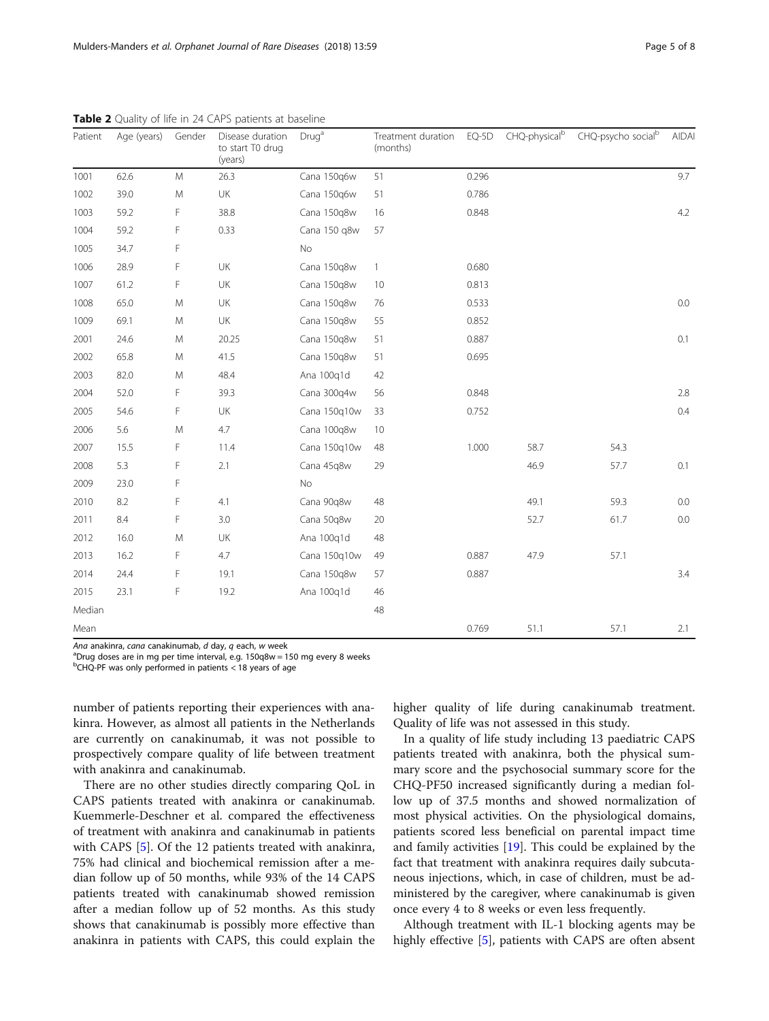| Patient | Age (years) | Gender | Disease duration<br>to start T0 drug<br>(years) | Drug <sup>a</sup> | Treatment duration<br>(months) | $EQ-5D$ | CHQ-physical <sup>b</sup> | CHQ-psycho social <sup>b</sup> | <b>AIDAI</b> |
|---------|-------------|--------|-------------------------------------------------|-------------------|--------------------------------|---------|---------------------------|--------------------------------|--------------|
| 1001    | 62.6        | M      | 26.3                                            | Cana 150q6w       | 51                             | 0.296   |                           |                                | 9.7          |
| 1002    | 39.0        | M      | UK                                              | Cana 150q6w       | 51                             | 0.786   |                           |                                |              |
| 1003    | 59.2        | F      | 38.8                                            | Cana 150q8w       | 16                             | 0.848   |                           |                                | 4.2          |
| 1004    | 59.2        | F      | 0.33                                            | Cana 150 q8w      | 57                             |         |                           |                                |              |
| 1005    | 34.7        | F      |                                                 | $\rm No$          |                                |         |                           |                                |              |
| 1006    | 28.9        | F      | UK                                              | Cana 150q8w       | $\mathbf{1}$                   | 0.680   |                           |                                |              |
| 1007    | 61.2        | F      | UK                                              | Cana 150q8w       | 10                             | 0.813   |                           |                                |              |
| 1008    | 65.0        | M      | UK                                              | Cana 150q8w       | 76                             | 0.533   |                           |                                | 0.0          |
| 1009    | 69.1        | M      | UK                                              | Cana 150q8w       | 55                             | 0.852   |                           |                                |              |
| 2001    | 24.6        | M      | 20.25                                           | Cana 150q8w       | 51                             | 0.887   |                           |                                | 0.1          |
| 2002    | 65.8        | M      | 41.5                                            | Cana 150q8w       | 51                             | 0.695   |                           |                                |              |
| 2003    | 82.0        | M      | 48.4                                            | Ana 100q1d        | 42                             |         |                           |                                |              |
| 2004    | 52.0        | F      | 39.3                                            | Cana 300q4w       | 56                             | 0.848   |                           |                                | 2.8          |
| 2005    | 54.6        | F      | UK                                              | Cana 150q10w      | 33                             | 0.752   |                           |                                | $0.4\,$      |
| 2006    | 5.6         | M      | 4.7                                             | Cana 100q8w       | 10                             |         |                           |                                |              |
| 2007    | 15.5        | F      | 11.4                                            | Cana 150q10w      | 48                             | 1.000   | 58.7                      | 54.3                           |              |
| 2008    | 5.3         | F      | 2.1                                             | Cana 45q8w        | 29                             |         | 46.9                      | 57.7                           | 0.1          |
| 2009    | 23.0        | F      |                                                 | $\rm No$          |                                |         |                           |                                |              |
| 2010    | 8.2         | F      | 4.1                                             | Cana 90q8w        | 48                             |         | 49.1                      | 59.3                           | 0.0          |
| 2011    | 8.4         | F      | 3.0                                             | Cana 50q8w        | 20                             |         | 52.7                      | 61.7                           | $0.0\,$      |
| 2012    | 16.0        | M      | UK                                              | Ana 100q1d        | 48                             |         |                           |                                |              |
| 2013    | 16.2        | F      | 4.7                                             | Cana 150q10w      | 49                             | 0.887   | 47.9                      | 57.1                           |              |
| 2014    | 24.4        | F      | 19.1                                            | Cana 150q8w       | 57                             | 0.887   |                           |                                | 3.4          |
| 2015    | 23.1        | F      | 19.2                                            | Ana 100q1d        | 46                             |         |                           |                                |              |
| Median  |             |        |                                                 |                   | 48                             |         |                           |                                |              |
| Mean    |             |        |                                                 |                   |                                | 0.769   | 51.1                      | 57.1                           | 2.1          |

<span id="page-4-0"></span>Table 2 Quality of life in 24 CAPS patients at baseline

Ana anakinra, cana canakinumab, d day, q each, w week

 $a^{2}$ Drug doses are in mg per time interval, e.g. 150q8w = 150 mg every 8 weeks

<sup>b</sup>CHQ-PF was only performed in patients < 18 years of age

number of patients reporting their experiences with anakinra. However, as almost all patients in the Netherlands are currently on canakinumab, it was not possible to prospectively compare quality of life between treatment with anakinra and canakinumab.

There are no other studies directly comparing QoL in CAPS patients treated with anakinra or canakinumab. Kuemmerle-Deschner et al. compared the effectiveness of treatment with anakinra and canakinumab in patients with CAPS [[5](#page-7-0)]. Of the 12 patients treated with anakinra, 75% had clinical and biochemical remission after a median follow up of 50 months, while 93% of the 14 CAPS patients treated with canakinumab showed remission after a median follow up of 52 months. As this study shows that canakinumab is possibly more effective than anakinra in patients with CAPS, this could explain the higher quality of life during canakinumab treatment. Quality of life was not assessed in this study.

In a quality of life study including 13 paediatric CAPS patients treated with anakinra, both the physical summary score and the psychosocial summary score for the CHQ-PF50 increased significantly during a median follow up of 37.5 months and showed normalization of most physical activities. On the physiological domains, patients scored less beneficial on parental impact time and family activities [[19\]](#page-7-0). This could be explained by the fact that treatment with anakinra requires daily subcutaneous injections, which, in case of children, must be administered by the caregiver, where canakinumab is given once every 4 to 8 weeks or even less frequently.

Although treatment with IL-1 blocking agents may be highly effective [\[5](#page-7-0)], patients with CAPS are often absent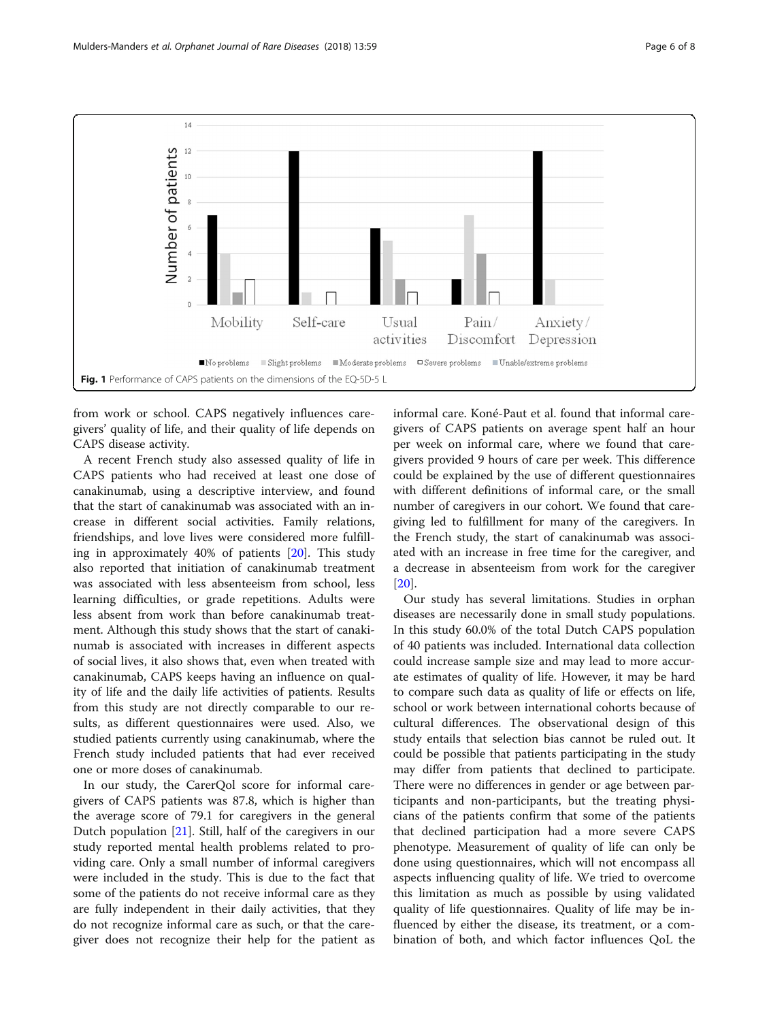<span id="page-5-0"></span>

from work or school. CAPS negatively influences caregivers' quality of life, and their quality of life depends on CAPS disease activity.

A recent French study also assessed quality of life in CAPS patients who had received at least one dose of canakinumab, using a descriptive interview, and found that the start of canakinumab was associated with an increase in different social activities. Family relations, friendships, and love lives were considered more fulfilling in approximately 40% of patients [\[20](#page-7-0)]. This study also reported that initiation of canakinumab treatment was associated with less absenteeism from school, less learning difficulties, or grade repetitions. Adults were less absent from work than before canakinumab treatment. Although this study shows that the start of canakinumab is associated with increases in different aspects of social lives, it also shows that, even when treated with canakinumab, CAPS keeps having an influence on quality of life and the daily life activities of patients. Results from this study are not directly comparable to our results, as different questionnaires were used. Also, we studied patients currently using canakinumab, where the French study included patients that had ever received one or more doses of canakinumab.

In our study, the CarerQol score for informal caregivers of CAPS patients was 87.8, which is higher than the average score of 79.1 for caregivers in the general Dutch population [[21\]](#page-7-0). Still, half of the caregivers in our study reported mental health problems related to providing care. Only a small number of informal caregivers were included in the study. This is due to the fact that some of the patients do not receive informal care as they are fully independent in their daily activities, that they do not recognize informal care as such, or that the caregiver does not recognize their help for the patient as informal care. Koné-Paut et al. found that informal caregivers of CAPS patients on average spent half an hour per week on informal care, where we found that caregivers provided 9 hours of care per week. This difference could be explained by the use of different questionnaires with different definitions of informal care, or the small number of caregivers in our cohort. We found that caregiving led to fulfillment for many of the caregivers. In the French study, the start of canakinumab was associated with an increase in free time for the caregiver, and a decrease in absenteeism from work for the caregiver [[20\]](#page-7-0).

Our study has several limitations. Studies in orphan diseases are necessarily done in small study populations. In this study 60.0% of the total Dutch CAPS population of 40 patients was included. International data collection could increase sample size and may lead to more accurate estimates of quality of life. However, it may be hard to compare such data as quality of life or effects on life, school or work between international cohorts because of cultural differences. The observational design of this study entails that selection bias cannot be ruled out. It could be possible that patients participating in the study may differ from patients that declined to participate. There were no differences in gender or age between participants and non-participants, but the treating physicians of the patients confirm that some of the patients that declined participation had a more severe CAPS phenotype. Measurement of quality of life can only be done using questionnaires, which will not encompass all aspects influencing quality of life. We tried to overcome this limitation as much as possible by using validated quality of life questionnaires. Quality of life may be influenced by either the disease, its treatment, or a combination of both, and which factor influences QoL the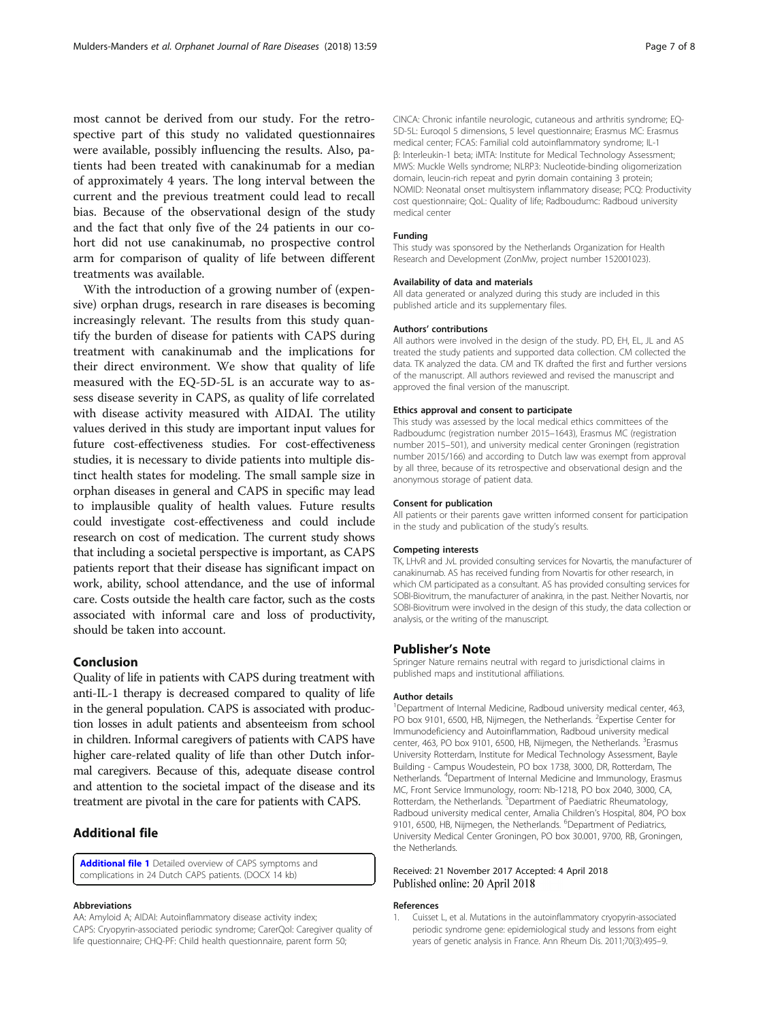<span id="page-6-0"></span>most cannot be derived from our study. For the retrospective part of this study no validated questionnaires were available, possibly influencing the results. Also, patients had been treated with canakinumab for a median of approximately 4 years. The long interval between the current and the previous treatment could lead to recall bias. Because of the observational design of the study and the fact that only five of the 24 patients in our cohort did not use canakinumab, no prospective control arm for comparison of quality of life between different treatments was available.

With the introduction of a growing number of (expensive) orphan drugs, research in rare diseases is becoming increasingly relevant. The results from this study quantify the burden of disease for patients with CAPS during treatment with canakinumab and the implications for their direct environment. We show that quality of life measured with the EQ-5D-5L is an accurate way to assess disease severity in CAPS, as quality of life correlated with disease activity measured with AIDAI. The utility values derived in this study are important input values for future cost-effectiveness studies. For cost-effectiveness studies, it is necessary to divide patients into multiple distinct health states for modeling. The small sample size in orphan diseases in general and CAPS in specific may lead to implausible quality of health values. Future results could investigate cost-effectiveness and could include research on cost of medication. The current study shows that including a societal perspective is important, as CAPS patients report that their disease has significant impact on work, ability, school attendance, and the use of informal care. Costs outside the health care factor, such as the costs associated with informal care and loss of productivity, should be taken into account.

# Conclusion

Quality of life in patients with CAPS during treatment with anti-IL-1 therapy is decreased compared to quality of life in the general population. CAPS is associated with production losses in adult patients and absenteeism from school in children. Informal caregivers of patients with CAPS have higher care-related quality of life than other Dutch informal caregivers. Because of this, adequate disease control and attention to the societal impact of the disease and its treatment are pivotal in the care for patients with CAPS.

# Additional file

[Additional file 1](https://doi.org/10.1186/s13023-018-0799-1) Detailed overview of CAPS symptoms and complications in 24 Dutch CAPS patients. (DOCX 14 kb)

#### Abbreviations

AA: Amyloid A; AIDAI: Autoinflammatory disease activity index; CAPS: Cryopyrin-associated periodic syndrome; CarerQol: Caregiver quality of life questionnaire; CHQ-PF: Child health questionnaire, parent form 50;

CINCA: Chronic infantile neurologic, cutaneous and arthritis syndrome; EQ-5D-5L: Euroqol 5 dimensions, 5 level questionnaire; Erasmus MC: Erasmus medical center; FCAS: Familial cold autoinflammatory syndrome; IL-1 β: Interleukin-1 beta; iMTA: Institute for Medical Technology Assessment; MWS: Muckle Wells syndrome; NLRP3: Nucleotide-binding oligomerization domain, leucin-rich repeat and pyrin domain containing 3 protein; NOMID: Neonatal onset multisystem inflammatory disease; PCQ: Productivity cost questionnaire; QoL: Quality of life; Radboudumc: Radboud university medical center

#### Funding

This study was sponsored by the Netherlands Organization for Health Research and Development (ZonMw, project number 152001023).

#### Availability of data and materials

All data generated or analyzed during this study are included in this published article and its supplementary files.

#### Authors' contributions

All authors were involved in the design of the study. PD, EH, EL, JL and AS treated the study patients and supported data collection. CM collected the data. TK analyzed the data. CM and TK drafted the first and further versions of the manuscript. All authors reviewed and revised the manuscript and approved the final version of the manuscript.

#### Ethics approval and consent to participate

This study was assessed by the local medical ethics committees of the Radboudumc (registration number 2015–1643), Erasmus MC (registration number 2015–501), and university medical center Groningen (registration number 2015/166) and according to Dutch law was exempt from approval by all three, because of its retrospective and observational design and the anonymous storage of patient data.

#### Consent for publication

All patients or their parents gave written informed consent for participation in the study and publication of the study's results.

#### Competing interests

TK, LHvR and JvL provided consulting services for Novartis, the manufacturer of canakinumab. AS has received funding from Novartis for other research, in which CM participated as a consultant. AS has provided consulting services for SOBI-Biovitrum, the manufacturer of anakinra, in the past. Neither Novartis, nor SOBI-Biovitrum were involved in the design of this study, the data collection or analysis, or the writing of the manuscript.

#### Publisher's Note

Springer Nature remains neutral with regard to jurisdictional claims in published maps and institutional affiliations.

#### Author details

<sup>1</sup>Department of Internal Medicine, Radboud university medical center, 463 PO box 9101, 6500, HB, Nijmegen, the Netherlands. <sup>2</sup> Expertise Center for Immunodeficiency and Autoinflammation, Radboud university medical center, 463, PO box 9101, 6500, HB, Nijmegen, the Netherlands. <sup>3</sup>Erasmus University Rotterdam, Institute for Medical Technology Assessment, Bayle Building - Campus Woudestein, PO box 1738, 3000, DR, Rotterdam, The Netherlands. <sup>4</sup>Department of Internal Medicine and Immunology, Erasmus MC, Front Service Immunology, room: Nb-1218, PO box 2040, 3000, CA, Rotterdam, the Netherlands. <sup>5</sup> Department of Paediatric Rheumatology, Radboud university medical center, Amalia Children's Hospital, 804, PO box 9101, 6500, HB, Nijmegen, the Netherlands. <sup>6</sup>Department of Pediatrics University Medical Center Groningen, PO box 30.001, 9700, RB, Groningen, the Netherlands.

#### Received: 21 November 2017 Accepted: 4 April 2018 Published online: 20 April 2018

#### References

1. Cuisset L, et al. Mutations in the autoinflammatory cryopyrin-associated periodic syndrome gene: epidemiological study and lessons from eight years of genetic analysis in France. Ann Rheum Dis. 2011;70(3):495–9.